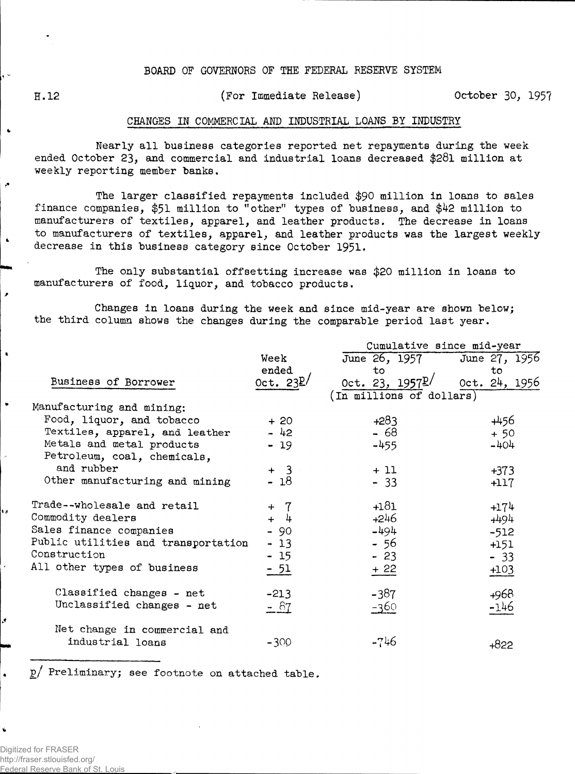## **BOARD OF GOVERNORS OF THE FEDERAL RESERVE SYSTEM**

 $\bullet$ 

۱s

.

**H.12 (For Immediate Release) October 30, 1957**

## **CHANGES IN COMMERCIAL AND INDUSTRIAL LOANS BY INDUSTRY**

**Nearly all business categories reported net repayments during the week ended October 23, and commercial and industrial loans decreased \$281 million at weekly reporting member banks.**

**The larger classified repayments included \$90 million in loans to sales finance companies, \$51 million to "other" types of business, and \$42 million to manufacturers of textiles, apparel, and leather products. The decrease in loans to manufacturers of textiles, apparel, and leather products was the largest weekly decrease in this business category since October 1951\***

**The only substantial offsetting increase was \$20 million in loans to manufacturers of food, liquor, and tobacco products.**

**Changes in loans during the week and since mid-year are shown below; the third column shows the changes during the comparable period last year.**

|                                     |            | Cumulative since mid-year  |               |  |  |  |  |  |  |
|-------------------------------------|------------|----------------------------|---------------|--|--|--|--|--|--|
|                                     | Week       | June 26, 1957              | June 27, 1956 |  |  |  |  |  |  |
|                                     | ended      | to                         | to            |  |  |  |  |  |  |
| Business of Borrower                | Oct. $23L$ | Oct. 23, $1957\frac{p}{q}$ | Oct. 24, 1956 |  |  |  |  |  |  |
|                                     |            | (In millions of dollars)   |               |  |  |  |  |  |  |
| Manufacturing and mining:           |            |                            |               |  |  |  |  |  |  |
| Food, liquor, and tobacco           | $+20$      | $+283$                     | +456          |  |  |  |  |  |  |
| Textiles, apparel, and leather      | $-42$      | $-68$                      | $+50$         |  |  |  |  |  |  |
| Metals and metal products           | $-19$      | $-455$                     | $-404$        |  |  |  |  |  |  |
| Petroleum, coal, chemicals,         |            |                            |               |  |  |  |  |  |  |
| and rubber                          | $+ 3$      | $+11$                      | $+373$        |  |  |  |  |  |  |
| Other manufacturing and mining      | $-18$      | $-33$                      | $+117$        |  |  |  |  |  |  |
|                                     |            |                            |               |  |  |  |  |  |  |
| Trade--wholesale and retail         | -7<br>$+$  | $+181$                     | $+174$        |  |  |  |  |  |  |
| Commodity dealers                   | 4<br>$+$   | $+246$                     | $+494$        |  |  |  |  |  |  |
| Sales finance companies             | $-90$      | $-494$                     | $-512$        |  |  |  |  |  |  |
| Public utilities and transportation | $-13$      | - 56                       | $+151$        |  |  |  |  |  |  |
| Construction                        | $-15$      | $-23$                      | $-33$         |  |  |  |  |  |  |
| All other types of business         | $-51$      | $+22$                      | $+103$        |  |  |  |  |  |  |
|                                     |            |                            |               |  |  |  |  |  |  |
| Classified changes - net            | $-213$     | $-387$                     | $+968$        |  |  |  |  |  |  |
| Unclassified changes - net          | $- 87$     | $-360$                     | -146          |  |  |  |  |  |  |
|                                     |            |                            |               |  |  |  |  |  |  |
| Net change in commercial and        |            |                            |               |  |  |  |  |  |  |
| industrial loans                    | $-300$     | -746                       | $+822$        |  |  |  |  |  |  |
|                                     |            |                            |               |  |  |  |  |  |  |

**p/ Preliminary; see footnote on attached table.**